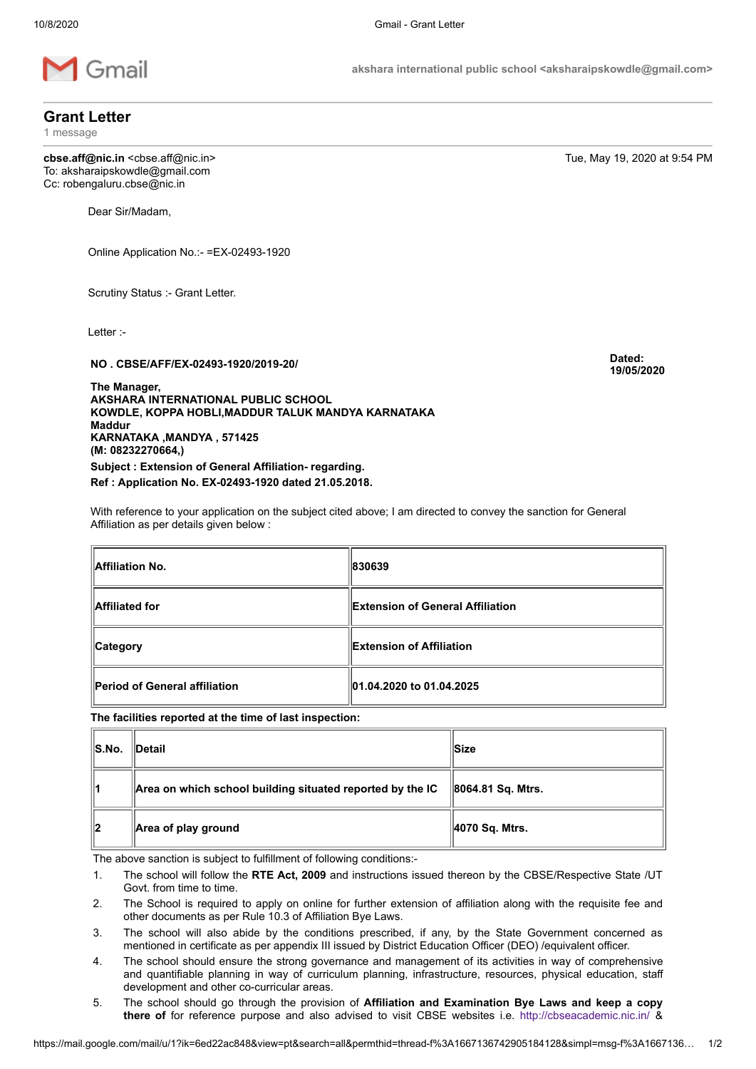

akshara international public school <aksharaipskowdle@gmail.com>

Grant Letter

1 message

cbse.aff@nic.in <cbse.aff@nic.in> Tue, May 19, 2020 at 9:54 PM To: aksharaipskowdle@gmail.com Cc: robengaluru.cbse@nic.in

Dear Sir/Madam,

Online Application No.:- =EX-02493-1920

Scrutiny Status :- Grant Letter.

Letter :-

NO . CBSE/AFF/EX-02493-1920/2019-20/ Dated:

The Manager, AKSHARA INTERNATIONAL PUBLIC SCHOOL KOWDLE, KOPPA HOBLI,MADDUR TALUK MANDYA KARNATAKA Maddur KARNATAKA ,MANDYA , 571425 (M: 08232270664,) Subject : Extension of General Affiliation- regarding.

Ref : Application No. EX-02493-1920 dated 21.05.2018.

With reference to your application on the subject cited above; I am directed to convey the sanction for General Affiliation as per details given below :

| <b>Affiliation No.</b>        | 830639                           |
|-------------------------------|----------------------------------|
| <b>Affiliated for</b>         | Extension of General Affiliation |
| <b>Category</b>               | <b>Extension of Affiliation</b>  |
| Period of General affiliation | 01.04.2020 to 01.04.2025         |

The facilities reported at the time of last inspection:

| $\ S.No.$ | <b>∥Detail</b>                                            | ∣Size             |
|-----------|-----------------------------------------------------------|-------------------|
| 11        | Area on which school building situated reported by the IC | 8064.81 Sq. Mtrs. |
| ∥2        | Area of play ground                                       | 4070 Sq. Mtrs.    |

The above sanction is subject to fulfillment of following conditions:-

- 1. The school will follow the RTE Act, 2009 and instructions issued thereon by the CBSE/Respective State /UT Govt. from time to time.
- 2. The School is required to apply on online for further extension of affiliation along with the requisite fee and other documents as per Rule 10.3 of Affiliation Bye Laws.
- 3. The school will also abide by the conditions prescribed, if any, by the State Government concerned as mentioned in certificate as per appendix III issued by District Education Officer (DEO) /equivalent officer.
- 4. The school should ensure the strong governance and management of its activities in way of comprehensive and quantifiable planning in way of curriculum planning, infrastructure, resources, physical education, staff development and other co-curricular areas.
- 5. The school should go through the provision of Affiliation and Examination Bye Laws and keep a copy there of for reference purpose and also advised to visit CBSE websites i.e. <http://cbseacademic.nic.in/> &

19/05/2020